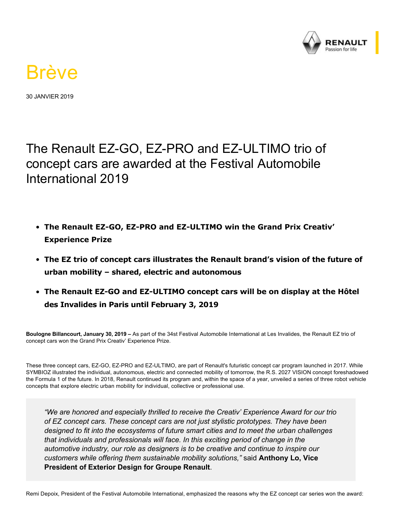

## Brève

30 JANVIER 2019

The Renault EZ-GO, EZ-PRO and EZ-ULTIMO trio of concept cars are awarded at the Festival Automobile International 2019

- **The Renault EZ-GO, EZ-PRO and EZ-ULTIMO win the Grand Prix Creativ' Experience Prize**
- **The EZ trio of concept cars illustrates the Renault brand's vision of the future of urban mobility – shared, electric and autonomous**
- The Renault EZ-GO and EZ-ULTIMO concept cars will be on display at the Hôtel **des Invalides in Paris until February 3, 2019**

**Boulogne Billancourt, January 30, 2019 –** As part of the 34st Festival Automobile International at Les Invalides, the Renault EZ trio of concept cars won the Grand Prix Creativ' Experience Prize.

These three concept cars, EZ-GO, EZ-PRO and EZ-ULTIMO, are part of Renault's futuristic concept car program launched in 2017. While SYMBIOZ illustrated the individual, autonomous, electric and connected mobility of tomorrow, the R.S. 2027 VISION concept foreshadowed the Formula 1 of the future. In 2018, Renault continued its program and, within the space of a year, unveiled a series of three robot vehicle concepts that explore electric urban mobility for individual, collective or professional use.

*"We are honored and especially thrilled to receive the Creativ' Experience Award for our trio of EZ concept cars. These concept cars are not just stylistic prototypes. They have been designed to fit into the ecosystems of future smart cities and to meet the urban challenges that individuals and professionals will face. In this exciting period of change in the automotive industry, our role as designers is to be creative and continue to inspire our customers while offering them sustainable mobility solutions,"* said **Anthony Lo, Vice President of Exterior Design for Groupe Renault**.